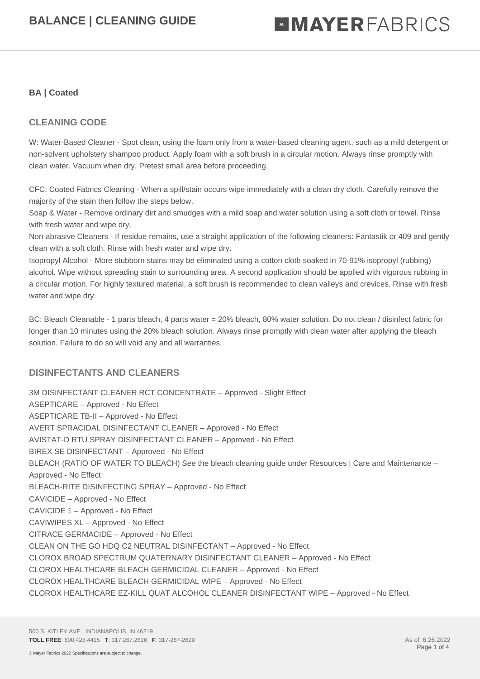#### **BA | Coated**

### **CLEANING CODE**

W: Water-Based Cleaner - Spot clean, using the foam only from a water-based cleaning agent, such as a mild detergent or non-solvent upholstery shampoo product. Apply foam with a soft brush in a circular motion. Always rinse promptly with clean water. Vacuum when dry. Pretest small area before proceeding.

CFC: Coated Fabrics Cleaning - When a spill/stain occurs wipe immediately with a clean dry cloth. Carefully remove the majority of the stain then follow the steps below.

Soap & Water - Remove ordinary dirt and smudges with a mild soap and water solution using a soft cloth or towel. Rinse with fresh water and wipe dry.

Non-abrasive Cleaners - If residue remains, use a straight application of the following cleaners: Fantastik or 409 and gently clean with a soft cloth. Rinse with fresh water and wipe dry.

Isopropyl Alcohol - More stubborn stains may be eliminated using a cotton cloth soaked in 70-91% isopropyl (rubbing) alcohol. Wipe without spreading stain to surrounding area. A second application should be applied with vigorous rubbing in a circular motion. For highly textured material, a soft brush is recommended to clean valleys and crevices. Rinse with fresh water and wipe dry.

BC: Bleach Cleanable - 1 parts bleach, 4 parts water = 20% bleach, 80% water solution. Do not clean / disinfect fabric for longer than 10 minutes using the 20% bleach solution. Always rinse promptly with clean water after applying the bleach solution. Failure to do so will void any and all warranties.

### **DISINFECTANTS AND CLEANERS**

3M DISINFECTANT CLEANER RCT CONCENTRATE – Approved - Slight Effect ASEPTICARE – Approved - No Effect ASEPTICARE TB-II – Approved - No Effect AVERT SPRACIDAL DISINFECTANT CLEANER – Approved - No Effect AVISTAT-D RTU SPRAY DISINFECTANT CLEANER – Approved - No Effect BIREX SE DISINFECTANT – Approved - No Effect BLEACH (RATIO OF WATER TO BLEACH) See the bleach cleaning guide under Resources | Care and Maintenance – Approved - No Effect BLEACH-RITE DISINFECTING SPRAY – Approved - No Effect CAVICIDE – Approved - No Effect CAVICIDE 1 – Approved - No Effect CAVIWIPES XL – Approved - No Effect CITRACE GERMACIDE – Approved - No Effect CLEAN ON THE GO HDQ C2 NEUTRAL DISINFECTANT – Approved - No Effect CLOROX BROAD SPECTRUM QUATERNARY DISINFECTANT CLEANER – Approved - No Effect CLOROX HEALTHCARE BLEACH GERMICIDAL CLEANER – Approved - No Effect CLOROX HEALTHCARE BLEACH GERMICIDAL WIPE – Approved - No Effect CLOROX HEALTHCARE EZ-KILL QUAT ALCOHOL CLEANER DISINFECTANT WIPE – Approved - No Effect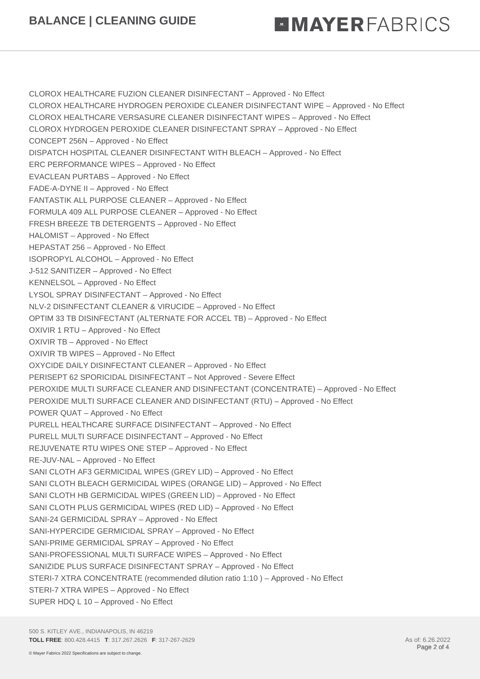# **MMAYERFABRICS**

CLOROX HEALTHCARE FUZION CLEANER DISINFECTANT – Approved - No Effect CLOROX HEALTHCARE HYDROGEN PEROXIDE CLEANER DISINFECTANT WIPE – Approved - No Effect CLOROX HEALTHCARE VERSASURE CLEANER DISINFECTANT WIPES – Approved - No Effect CLOROX HYDROGEN PEROXIDE CLEANER DISINFECTANT SPRAY – Approved - No Effect CONCEPT 256N – Approved - No Effect DISPATCH HOSPITAL CLEANER DISINFECTANT WITH BLEACH – Approved - No Effect ERC PERFORMANCE WIPES – Approved - No Effect EVACLEAN PURTABS – Approved - No Effect FADE-A-DYNE II – Approved - No Effect FANTASTIK ALL PURPOSE CLEANER – Approved - No Effect FORMULA 409 ALL PURPOSE CLEANER – Approved - No Effect FRESH BREEZE TB DETERGENTS – Approved - No Effect HALOMIST – Approved - No Effect HEPASTAT 256 – Approved - No Effect ISOPROPYL ALCOHOL – Approved - No Effect J-512 SANITIZER – Approved - No Effect KENNELSOL – Approved - No Effect LYSOL SPRAY DISINFECTANT – Approved - No Effect NLV-2 DISINFECTANT CLEANER & VIRUCIDE – Approved - No Effect OPTIM 33 TB DISINFECTANT (ALTERNATE FOR ACCEL TB) – Approved - No Effect OXIVIR 1 RTU – Approved - No Effect OXIVIR TB – Approved - No Effect OXIVIR TB WIPES – Approved - No Effect OXYCIDE DAILY DISINFECTANT CLEANER – Approved - No Effect PERISEPT 62 SPORICIDAL DISINFECTANT – Not Approved - Severe Effect PEROXIDE MULTI SURFACE CLEANER AND DISINFECTANT (CONCENTRATE) – Approved - No Effect PEROXIDE MULTI SURFACE CLEANER AND DISINFECTANT (RTU) – Approved - No Effect POWER QUAT – Approved - No Effect PURELL HEALTHCARE SURFACE DISINFECTANT – Approved - No Effect PURELL MULTI SURFACE DISINFECTANT – Approved - No Effect REJUVENATE RTU WIPES ONE STEP – Approved - No Effect RE-JUV-NAL – Approved - No Effect SANI CLOTH AF3 GERMICIDAL WIPES (GREY LID) – Approved - No Effect SANI CLOTH BLEACH GERMICIDAL WIPES (ORANGE LID) – Approved - No Effect SANI CLOTH HB GERMICIDAL WIPES (GREEN LID) – Approved - No Effect SANI CLOTH PLUS GERMICIDAL WIPES (RED LID) – Approved - No Effect SANI-24 GERMICIDAL SPRAY – Approved - No Effect SANI-HYPERCIDE GERMICIDAL SPRAY – Approved - No Effect SANI-PRIME GERMICIDAL SPRAY – Approved - No Effect SANI-PROFESSIONAL MULTI SURFACE WIPES – Approved - No Effect SANIZIDE PLUS SURFACE DISINFECTANT SPRAY – Approved - No Effect STERI-7 XTRA CONCENTRATE (recommended dilution ratio 1:10 ) – Approved - No Effect STERI-7 XTRA WIPES – Approved - No Effect SUPER HDQ L 10 – Approved - No Effect

500 S. KITLEY AVE., INDIANAPOLIS, IN 46219 **TOLL FREE**: 800.428.4415 **T**: 317.267.2626 **F**: 317-267-2629 As of: 6.26.2022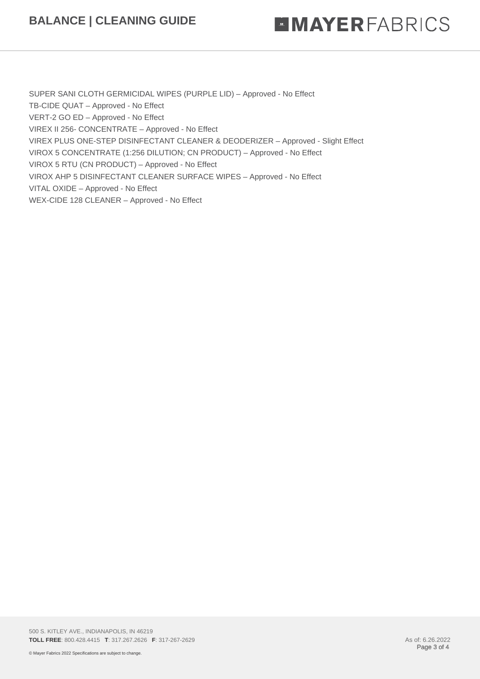### **BALANCE | CLEANING GUIDE**

## **MMAYERFABRICS**

SUPER SANI CLOTH GERMICIDAL WIPES (PURPLE LID) – Approved - No Effect TB-CIDE QUAT – Approved - No Effect VERT-2 GO ED – Approved - No Effect VIREX II 256- CONCENTRATE – Approved - No Effect VIREX PLUS ONE-STEP DISINFECTANT CLEANER & DEODERIZER – Approved - Slight Effect VIROX 5 CONCENTRATE (1:256 DILUTION; CN PRODUCT) – Approved - No Effect VIROX 5 RTU (CN PRODUCT) – Approved - No Effect VIROX AHP 5 DISINFECTANT CLEANER SURFACE WIPES – Approved - No Effect VITAL OXIDE – Approved - No Effect WEX-CIDE 128 CLEANER – Approved - No Effect